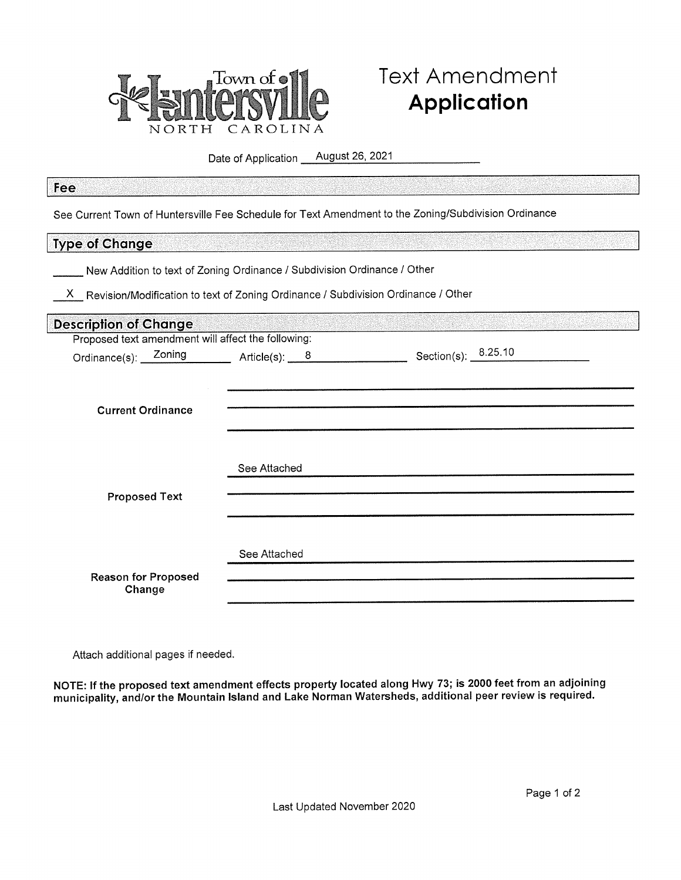

# **Text Amendment Application**

Date of Application \_ August 26, 2021

#### Fee

See Current Town of Huntersville Fee Schedule for Text Amendment to the Zoning/Subdivision Ordinance

## **Type of Change**

New Addition to text of Zoning Ordinance / Subdivision Ordinance / Other

X Revision/Modification to text of Zoning Ordinance / Subdivision Ordinance / Other

| <b>Description of Change</b>                       |                 |                       |  |
|----------------------------------------------------|-----------------|-----------------------|--|
| Proposed text amendment will affect the following: |                 |                       |  |
| Ordinance(s): <u>Zoning</u>                        | Article(s): $8$ | Section(s): $8.25.10$ |  |
|                                                    |                 |                       |  |
|                                                    |                 |                       |  |
| <b>Current Ordinance</b>                           |                 |                       |  |
|                                                    |                 |                       |  |
|                                                    |                 |                       |  |
|                                                    |                 |                       |  |
|                                                    | See Attached    |                       |  |
| <b>Proposed Text</b>                               |                 |                       |  |
|                                                    |                 |                       |  |
|                                                    |                 |                       |  |
|                                                    |                 |                       |  |
|                                                    | See Attached    |                       |  |
| <b>Reason for Proposed</b>                         |                 |                       |  |
| Change                                             |                 |                       |  |

Attach additional pages if needed.

NOTE: If the proposed text amendment effects property located along Hwy 73; is 2000 feet from an adjoining municipality, and/or the Mountain Island and Lake Norman Watersheds, additional peer review is required.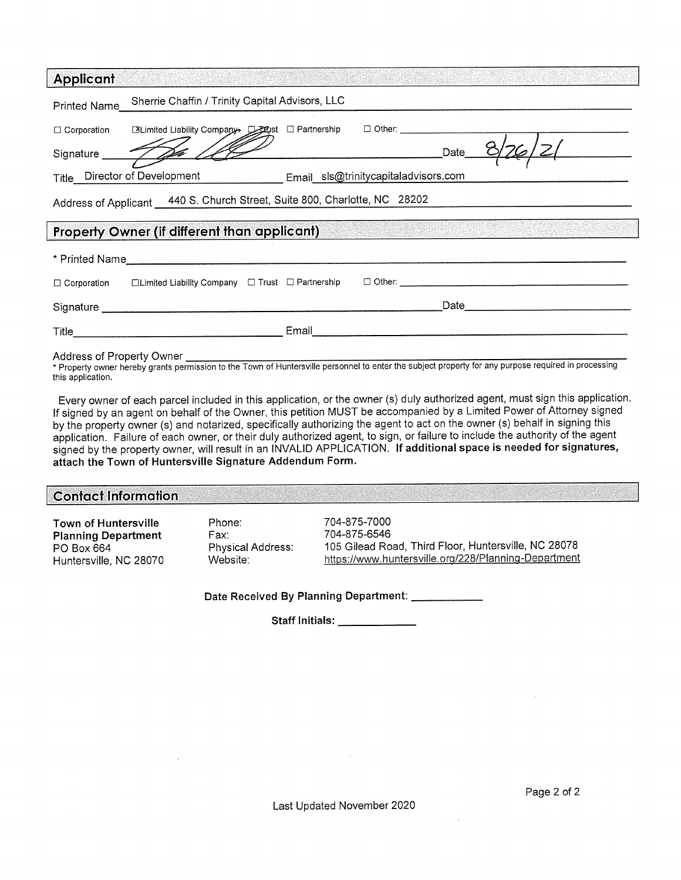| <b>Applicant</b>                                                                                                | (ASIA) ASTROLOGIA (ASIA) ATALIA (ASIA) ATALIA (ATALIA)                                                                                                                                                                        |  |  |
|-----------------------------------------------------------------------------------------------------------------|-------------------------------------------------------------------------------------------------------------------------------------------------------------------------------------------------------------------------------|--|--|
| Printed Name                                                                                                    | Sherrie Chaffin / Trinity Capital Advisors, LLC                                                                                                                                                                               |  |  |
|                                                                                                                 |                                                                                                                                                                                                                               |  |  |
|                                                                                                                 | Signature 12 /<br>____Date___                                                                                                                                                                                                 |  |  |
| Title Director of Development Email sls@trinitycapitaladvisors.com                                              |                                                                                                                                                                                                                               |  |  |
|                                                                                                                 | Address of Applicant 440 S. Church Street, Suite 800, Charlotte, NC 28202                                                                                                                                                     |  |  |
| Property Owner (if different than applicant) and the contract of the contract of the contract of the contract o |                                                                                                                                                                                                                               |  |  |
|                                                                                                                 |                                                                                                                                                                                                                               |  |  |
|                                                                                                                 | Corporation Clumited Liability Company Cl Trust Cl Partnership Cl Other: Company Cl Limited Liability Company Cl Trust Cl Partnership Cl Other:                                                                               |  |  |
|                                                                                                                 | Signature subsequently and the state of the state of the state of the state of the state of the state of the state of the state of the state of the state of the state of the state of the state of the state of the state of |  |  |
|                                                                                                                 |                                                                                                                                                                                                                               |  |  |
|                                                                                                                 |                                                                                                                                                                                                                               |  |  |

Property owner hereby grants permission to the Town of Huntersville personnel to enter the subject property for any purp this application.

Every owner of each parcel included in this application, or the owner (s) duly authorized agent, must sign this application. If signed by an agent on behalf of the Owner, this petition MUST be accompanied by a Limited Power of Attorney signed by the property owner (s) and notarized, specifically authorizing the agent to act on the owner (s) behalf in signing this application. Failure of each owner, or their duly authorized agent, to sign, or failure to include the authority of the agent signed by the property owner, will result in an INVALID APPLICATION. If additional space is needed for signatures, attach the Town of Huntersville Signature Addendum Form.

## **Contact Information**

**Town of Huntersville Planning Department** PO Box 664 Huntersville, NC 28070 Phone: Fax: Physical Address: Website:

704-875-7000 704-875-6546 105 Gilead Road, Third Floor, Huntersville, NC 28078 https://www.huntersyille.org/228/Planning-Department

Date Received By Planning Department: \_\_\_\_\_

Staff Initials: \_\_\_\_\_\_\_\_\_\_\_\_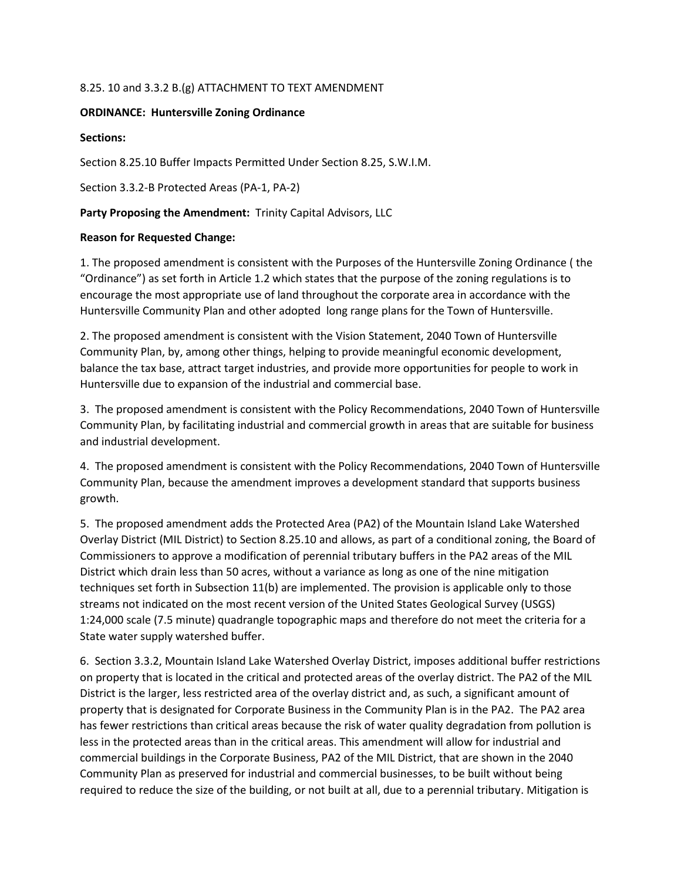## 8.25. 10 and 3.3.2 B.(g) ATTACHMENT TO TEXT AMENDMENT

#### **ORDINANCE: Huntersville Zoning Ordinance**

#### **Sections:**

Section 8.25.10 Buffer Impacts Permitted Under Section 8.25, S.W.I.M.

Section 3.3.2-B Protected Areas (PA-1, PA-2)

## **Party Proposing the Amendment:** Trinity Capital Advisors, LLC

## **Reason for Requested Change:**

1. The proposed amendment is consistent with the Purposes of the Huntersville Zoning Ordinance ( the "Ordinance") as set forth in Article 1.2 which states that the purpose of the zoning regulations is to encourage the most appropriate use of land throughout the corporate area in accordance with the Huntersville Community Plan and other adopted long range plans for the Town of Huntersville.

2. The proposed amendment is consistent with the Vision Statement, 2040 Town of Huntersville Community Plan, by, among other things, helping to provide meaningful economic development, balance the tax base, attract target industries, and provide more opportunities for people to work in Huntersville due to expansion of the industrial and commercial base.

3. The proposed amendment is consistent with the Policy Recommendations, 2040 Town of Huntersville Community Plan, by facilitating industrial and commercial growth in areas that are suitable for business and industrial development.

4. The proposed amendment is consistent with the Policy Recommendations, 2040 Town of Huntersville Community Plan, because the amendment improves a development standard that supports business growth.

5. The proposed amendment adds the Protected Area (PA2) of the Mountain Island Lake Watershed Overlay District (MIL District) to Section 8.25.10 and allows, as part of a conditional zoning, the Board of Commissioners to approve a modification of perennial tributary buffers in the PA2 areas of the MIL District which drain less than 50 acres, without a variance as long as one of the nine mitigation techniques set forth in Subsection 11(b) are implemented. The provision is applicable only to those streams not indicated on the most recent version of the United States Geological Survey (USGS) 1:24,000 scale (7.5 minute) quadrangle topographic maps and therefore do not meet the criteria for a State water supply watershed buffer.

6. Section 3.3.2, Mountain Island Lake Watershed Overlay District, imposes additional buffer restrictions on property that is located in the critical and protected areas of the overlay district. The PA2 of the MIL District is the larger, less restricted area of the overlay district and, as such, a significant amount of property that is designated for Corporate Business in the Community Plan is in the PA2. The PA2 area has fewer restrictions than critical areas because the risk of water quality degradation from pollution is less in the protected areas than in the critical areas. This amendment will allow for industrial and commercial buildings in the Corporate Business, PA2 of the MIL District, that are shown in the 2040 Community Plan as preserved for industrial and commercial businesses, to be built without being required to reduce the size of the building, or not built at all, due to a perennial tributary. Mitigation is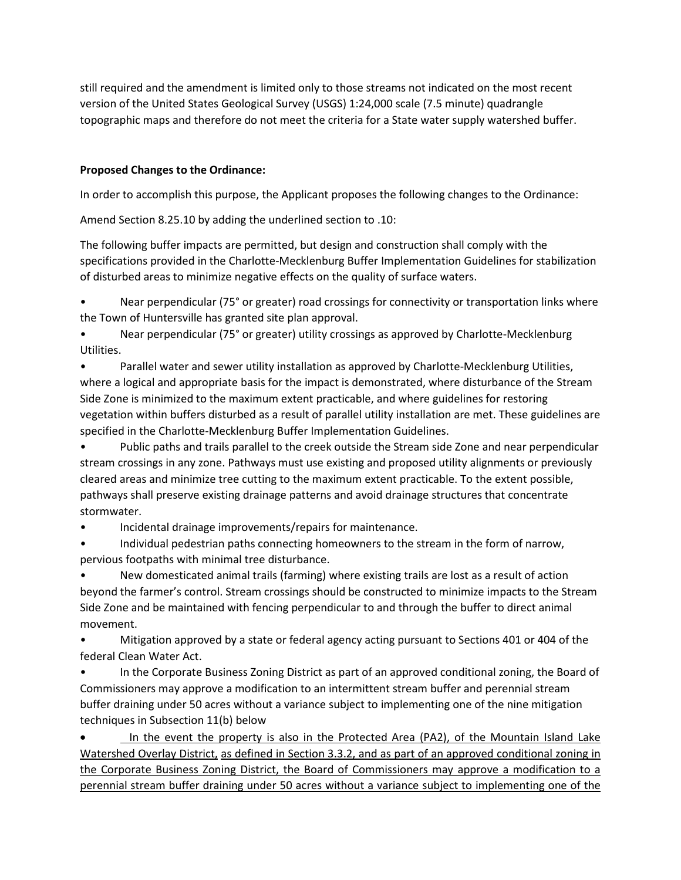still required and the amendment is limited only to those streams not indicated on the most recent version of the United States Geological Survey (USGS) 1:24,000 scale (7.5 minute) quadrangle topographic maps and therefore do not meet the criteria for a State water supply watershed buffer.

## **Proposed Changes to the Ordinance:**

In order to accomplish this purpose, the Applicant proposes the following changes to the Ordinance:

Amend Section 8.25.10 by adding the underlined section to .10:

The following buffer impacts are permitted, but design and construction shall comply with the specifications provided in the Charlotte-Mecklenburg Buffer Implementation Guidelines for stabilization of disturbed areas to minimize negative effects on the quality of surface waters.

Near perpendicular (75° or greater) road crossings for connectivity or transportation links where the Town of Huntersville has granted site plan approval.

• Near perpendicular (75° or greater) utility crossings as approved by Charlotte-Mecklenburg Utilities.

• Parallel water and sewer utility installation as approved by Charlotte-Mecklenburg Utilities, where a logical and appropriate basis for the impact is demonstrated, where disturbance of the Stream Side Zone is minimized to the maximum extent practicable, and where guidelines for restoring vegetation within buffers disturbed as a result of parallel utility installation are met. These guidelines are specified in the Charlotte-Mecklenburg Buffer Implementation Guidelines.

• Public paths and trails parallel to the creek outside the Stream side Zone and near perpendicular stream crossings in any zone. Pathways must use existing and proposed utility alignments or previously cleared areas and minimize tree cutting to the maximum extent practicable. To the extent possible, pathways shall preserve existing drainage patterns and avoid drainage structures that concentrate stormwater.

• Incidental drainage improvements/repairs for maintenance.

• Individual pedestrian paths connecting homeowners to the stream in the form of narrow, pervious footpaths with minimal tree disturbance.

• New domesticated animal trails (farming) where existing trails are lost as a result of action beyond the farmer's control. Stream crossings should be constructed to minimize impacts to the Stream Side Zone and be maintained with fencing perpendicular to and through the buffer to direct animal movement.

• Mitigation approved by a state or federal agency acting pursuant to Sections 401 or 404 of the federal Clean Water Act.

• In the Corporate Business Zoning District as part of an approved conditional zoning, the Board of Commissioners may approve a modification to an intermittent stream buffer and perennial stream buffer draining under 50 acres without a variance subject to implementing one of the nine mitigation techniques in Subsection 11(b) below

• In the event the property is also in the Protected Area (PA2), of the Mountain Island Lake Watershed Overlay District, as defined in Section 3.3.2, and as part of an approved conditional zoning in the Corporate Business Zoning District, the Board of Commissioners may approve a modification to a perennial stream buffer draining under 50 acres without a variance subject to implementing one of the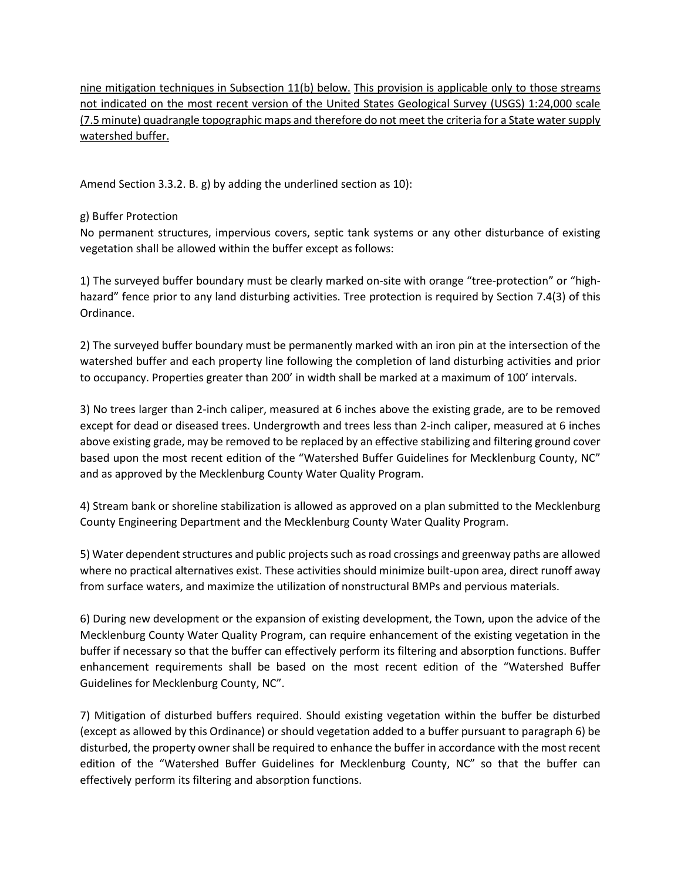nine mitigation techniques in Subsection 11(b) below. This provision is applicable only to those streams not indicated on the most recent version of the United States Geological Survey (USGS) 1:24,000 scale (7.5 minute) quadrangle topographic maps and therefore do not meet the criteria for a State water supply watershed buffer.

Amend Section 3.3.2. B. g) by adding the underlined section as 10):

## g) Buffer Protection

No permanent structures, impervious covers, septic tank systems or any other disturbance of existing vegetation shall be allowed within the buffer except as follows:

1) The surveyed buffer boundary must be clearly marked on-site with orange "tree-protection" or "highhazard" fence prior to any land disturbing activities. Tree protection is required by Section 7.4(3) of this Ordinance.

2) The surveyed buffer boundary must be permanently marked with an iron pin at the intersection of the watershed buffer and each property line following the completion of land disturbing activities and prior to occupancy. Properties greater than 200' in width shall be marked at a maximum of 100' intervals.

3) No trees larger than 2-inch caliper, measured at 6 inches above the existing grade, are to be removed except for dead or diseased trees. Undergrowth and trees less than 2-inch caliper, measured at 6 inches above existing grade, may be removed to be replaced by an effective stabilizing and filtering ground cover based upon the most recent edition of the "Watershed Buffer Guidelines for Mecklenburg County, NC" and as approved by the Mecklenburg County Water Quality Program.

4) Stream bank or shoreline stabilization is allowed as approved on a plan submitted to the Mecklenburg County Engineering Department and the Mecklenburg County Water Quality Program.

5) Water dependent structures and public projects such as road crossings and greenway paths are allowed where no practical alternatives exist. These activities should minimize built-upon area, direct runoff away from surface waters, and maximize the utilization of nonstructural BMPs and pervious materials.

6) During new development or the expansion of existing development, the Town, upon the advice of the Mecklenburg County Water Quality Program, can require enhancement of the existing vegetation in the buffer if necessary so that the buffer can effectively perform its filtering and absorption functions. Buffer enhancement requirements shall be based on the most recent edition of the "Watershed Buffer Guidelines for Mecklenburg County, NC".

7) Mitigation of disturbed buffers required. Should existing vegetation within the buffer be disturbed (except as allowed by this Ordinance) or should vegetation added to a buffer pursuant to paragraph 6) be disturbed, the property owner shall be required to enhance the buffer in accordance with the most recent edition of the "Watershed Buffer Guidelines for Mecklenburg County, NC" so that the buffer can effectively perform its filtering and absorption functions.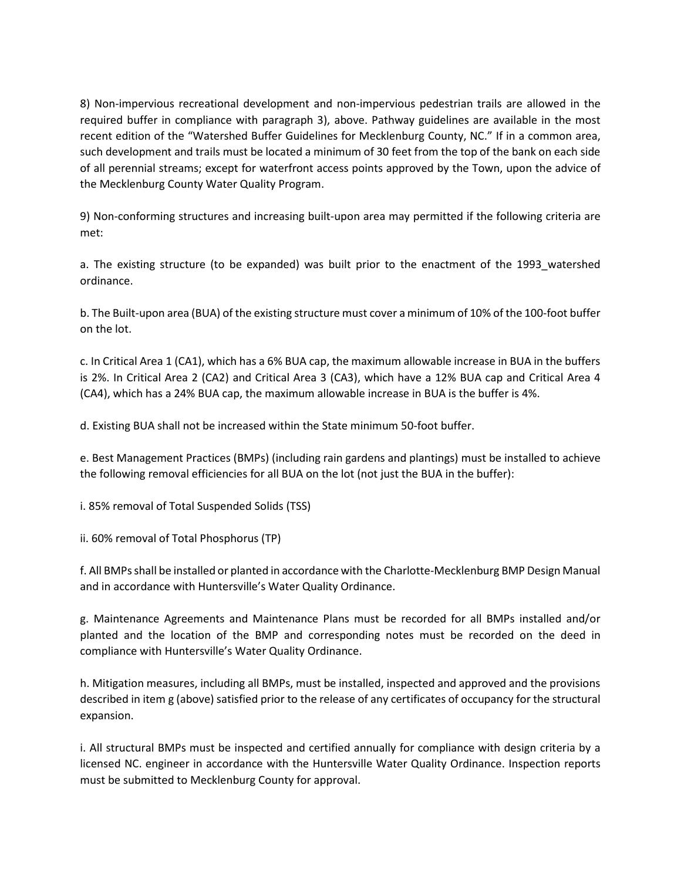8) Non-impervious recreational development and non-impervious pedestrian trails are allowed in the required buffer in compliance with paragraph 3), above. Pathway guidelines are available in the most recent edition of the "Watershed Buffer Guidelines for Mecklenburg County, NC." If in a common area, such development and trails must be located a minimum of 30 feet from the top of the bank on each side of all perennial streams; except for waterfront access points approved by the Town, upon the advice of the Mecklenburg County Water Quality Program.

9) Non-conforming structures and increasing built-upon area may permitted if the following criteria are met:

a. The existing structure (to be expanded) was built prior to the enactment of the 1993 watershed ordinance.

b. The Built-upon area (BUA) of the existing structure must cover a minimum of 10% of the 100-foot buffer on the lot.

c. In Critical Area 1 (CA1), which has a 6% BUA cap, the maximum allowable increase in BUA in the buffers is 2%. In Critical Area 2 (CA2) and Critical Area 3 (CA3), which have a 12% BUA cap and Critical Area 4 (CA4), which has a 24% BUA cap, the maximum allowable increase in BUA is the buffer is 4%.

d. Existing BUA shall not be increased within the State minimum 50-foot buffer.

e. Best Management Practices (BMPs) (including rain gardens and plantings) must be installed to achieve the following removal efficiencies for all BUA on the lot (not just the BUA in the buffer):

i. 85% removal of Total Suspended Solids (TSS)

ii. 60% removal of Total Phosphorus (TP)

f. All BMPs shall be installed or planted in accordance with the Charlotte-Mecklenburg BMP Design Manual and in accordance with Huntersville's Water Quality Ordinance.

g. Maintenance Agreements and Maintenance Plans must be recorded for all BMPs installed and/or planted and the location of the BMP and corresponding notes must be recorded on the deed in compliance with Huntersville's Water Quality Ordinance.

h. Mitigation measures, including all BMPs, must be installed, inspected and approved and the provisions described in item g (above) satisfied prior to the release of any certificates of occupancy for the structural expansion.

i. All structural BMPs must be inspected and certified annually for compliance with design criteria by a licensed NC. engineer in accordance with the Huntersville Water Quality Ordinance. Inspection reports must be submitted to Mecklenburg County for approval.